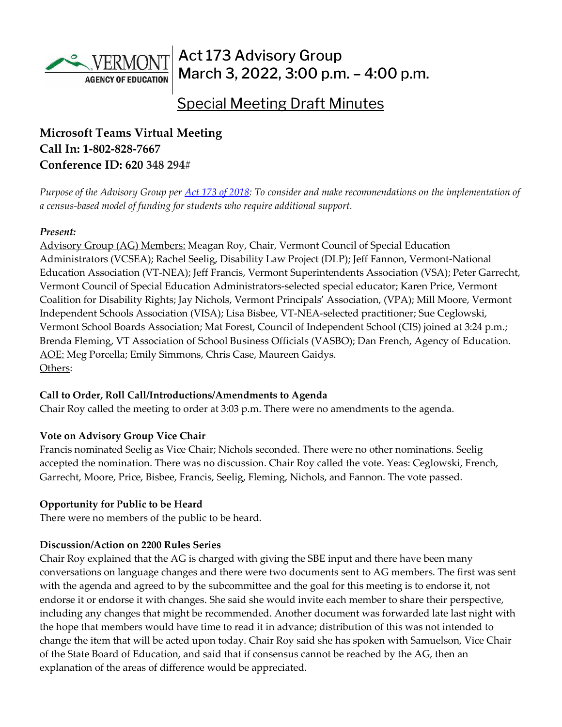

# Act 173 Advisory Group March 3, 2022, 3:00 p.m. – 4:00 p.m.

# Special Meeting Draft Minutes

## **Microsoft Teams Virtual Meeting Call In: [1-802-828-7667](about:blank)  Conference ID: 620 348 294#**

*Purpose of the Advisory Group per [Act 173 of 2018:](https://legislature.vermont.gov/Documents/2018/Docs/ACTS/ACT173/ACT173%20As%20Enacted.pdf) To consider and make recommendations on the implementation of a census-based model of funding for students who require additional support.*

#### *Present:*

Advisory Group (AG) Members: Meagan Roy, Chair, Vermont Council of Special Education Administrators (VCSEA); Rachel Seelig, Disability Law Project (DLP); Jeff Fannon, Vermont-National Education Association (VT-NEA); Jeff Francis, Vermont Superintendents Association (VSA); Peter Garrecht, Vermont Council of Special Education Administrators-selected special educator; Karen Price, Vermont Coalition for Disability Rights; Jay Nichols, Vermont Principals' Association, (VPA); Mill Moore, Vermont Independent Schools Association (VISA); Lisa Bisbee, VT-NEA-selected practitioner; Sue Ceglowski, Vermont School Boards Association; Mat Forest, Council of Independent School (CIS) joined at 3:24 p.m.; Brenda Fleming, VT Association of School Business Officials (VASBO); Dan French, Agency of Education. AOE: Meg Porcella; Emily Simmons, Chris Case, Maureen Gaidys. Others:

#### **Call to Order, Roll Call/Introductions/Amendments to Agenda**

Chair Roy called the meeting to order at 3:03 p.m. There were no amendments to the agenda.

### **Vote on Advisory Group Vice Chair**

Francis nominated Seelig as Vice Chair; Nichols seconded. There were no other nominations. Seelig accepted the nomination. There was no discussion. Chair Roy called the vote. Yeas: Ceglowski, French, Garrecht, Moore, Price, Bisbee, Francis, Seelig, Fleming, Nichols, and Fannon. The vote passed.

#### **Opportunity for Public to be Heard**

There were no members of the public to be heard.

### **Discussion/Action on 2200 Rules Series**

Chair Roy explained that the AG is charged with giving the SBE input and there have been many conversations on language changes and there were two documents sent to AG members. The first was sent with the agenda and agreed to by the subcommittee and the goal for this meeting is to endorse it, not endorse it or endorse it with changes. She said she would invite each member to share their perspective, including any changes that might be recommended. Another document was forwarded late last night with the hope that members would have time to read it in advance; distribution of this was not intended to change the item that will be acted upon today. Chair Roy said she has spoken with Samuelson, Vice Chair of the State Board of Education, and said that if consensus cannot be reached by the AG, then an explanation of the areas of difference would be appreciated.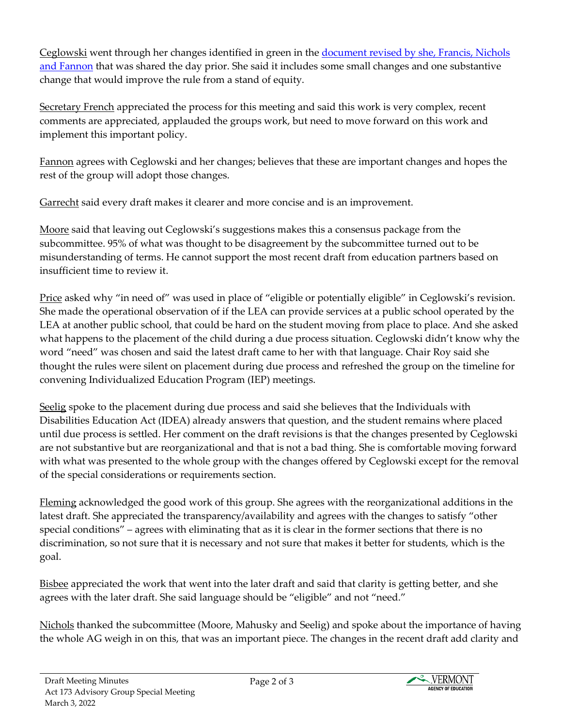Ceglowski went through her changes identified in green in the [document revised by she, Francis, Nichols](https://education.vermont.gov/document/Section%202229%20Proposed%20Changes%20to%20Version%20from%20VSBA%20and%20others)  [and Fannon](https://education.vermont.gov/document/Section%202229%20Proposed%20Changes%20to%20Version%20from%20VSBA%20and%20others) that was shared the day prior. She said it includes some small changes and one substantive change that would improve the rule from a stand of equity.

Secretary French appreciated the process for this meeting and said this work is very complex, recent comments are appreciated, applauded the groups work, but need to move forward on this work and implement this important policy.

Fannon agrees with Ceglowski and her changes; believes that these are important changes and hopes the rest of the group will adopt those changes.

Garrecht said every draft makes it clearer and more concise and is an improvement.

<u>Moore</u> said that leaving out Ceglowski's suggestions makes this a consensus package from the subcommittee. 95% of what was thought to be disagreement by the subcommittee turned out to be misunderstanding of terms. He cannot support the most recent draft from education partners based on insufficient time to review it.

Price asked why "in need of" was used in place of "eligible or potentially eligible" in Ceglowski's revision. She made the operational observation of if the LEA can provide services at a public school operated by the LEA at another public school, that could be hard on the student moving from place to place. And she asked what happens to the placement of the child during a due process situation. Ceglowski didn't know why the word "need" was chosen and said the latest draft came to her with that language. Chair Roy said she thought the rules were silent on placement during due process and refreshed the group on the timeline for convening Individualized Education Program (IEP) meetings.

Seelig spoke to the placement during due process and said she believes that the Individuals with Disabilities Education Act (IDEA) already answers that question, and the student remains where placed until due process is settled. Her comment on the draft revisions is that the changes presented by Ceglowski are not substantive but are reorganizational and that is not a bad thing. She is comfortable moving forward with what was presented to the whole group with the changes offered by Ceglowski except for the removal of the special considerations or requirements section.

Fleming acknowledged the good work of this group. She agrees with the reorganizational additions in the latest draft. She appreciated the transparency/availability and agrees with the changes to satisfy "other special conditions" – agrees with eliminating that as it is clear in the former sections that there is no discrimination, so not sure that it is necessary and not sure that makes it better for students, which is the goal.

Bisbee appreciated the work that went into the later draft and said that clarity is getting better, and she agrees with the later draft. She said language should be "eligible" and not "need."

Nichols thanked the subcommittee (Moore, Mahusky and Seelig) and spoke about the importance of having the whole AG weigh in on this, that was an important piece. The changes in the recent draft add clarity and